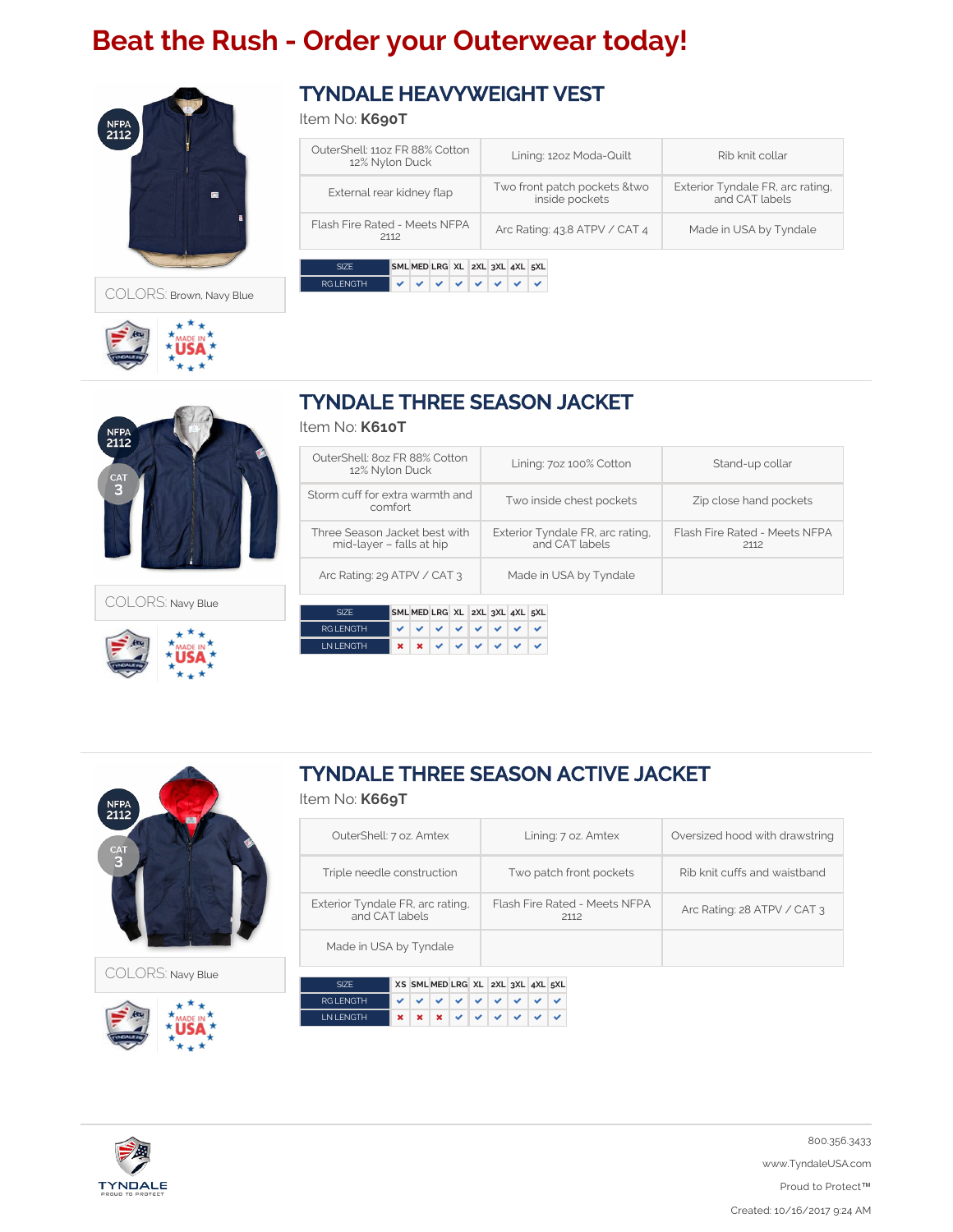# **Beat the Rush - Order your Outerwear today!**



COLORS: Brown, Navy Blue



**NFPA**<br>2112

COLORS: Navy Blue



Item No: **K690T**

| OuterShell: 1107 FR 88% Cotton<br>12% Nylon Duck | Lining: 1202 Moda-Quilt                         | Rib knit collar                                    |
|--------------------------------------------------|-------------------------------------------------|----------------------------------------------------|
| External rear kidney flap                        | Two front patch pockets & two<br>inside pockets | Exterior Tyndale FR, arc rating,<br>and CAT labels |
| Flash Fire Rated - Meets NFPA<br>2112            | Arc Rating: 43.8 ATPV / CAT 4                   | Made in USA by Tyndale                             |
|                                                  |                                                 |                                                    |
| SML MED LRG XL 2XL 3XL 4XL 5XL<br>SIZF           |                                                 |                                                    |
| <b>RGI FNGTH</b>                                 |                                                 |                                                    |

## TYNDALE THREE SEASON JACKET

### Item No: **K610T**

| OuterShell: 8oz FR 88% Cotton<br>12% Nylon Duck           | Lining: 70z 100% Cotton                            | Stand-up collar                       |
|-----------------------------------------------------------|----------------------------------------------------|---------------------------------------|
| Storm cuff for extra warmth and<br>comfort                | Two inside chest pockets                           | Zip close hand pockets                |
| Three Season Jacket best with<br>mid-layer - falls at hip | Exterior Tyndale FR, arc rating,<br>and CAT labels | Flash Fire Rated - Meets NFPA<br>2112 |
| Arc Rating: 29 ATPV / CAT 3                               | Made in USA by Tyndale                             |                                       |

|                  | SML MED LRG XL 2XL 3XL 4XL 5XL |                                |  |  |  |
|------------------|--------------------------------|--------------------------------|--|--|--|
| <b>RGI FNGTH</b> |                                | <b>VVVVVVVV</b>                |  |  |  |
| <b>INIFNGTH</b>  |                                | $x \times y \times y \times y$ |  |  |  |



COLORS: Navy Blue



## TYNDALE THREE SEASON ACTIVE JACKET

#### Item No: **K669T**

| OuterShell: 7 oz. Amtex                            | Lining: 7 oz. Amtex                   | Oversized hood with drawstring |
|----------------------------------------------------|---------------------------------------|--------------------------------|
| Triple needle construction                         | Two patch front pockets               | Rib knit cuffs and waistband   |
| Exterior Tyndale FR, arc rating,<br>and CAT labels | Flash Fire Rated - Meets NFPA<br>2112 | Arc Rating: 28 ATPV / CAT 3    |
| Made in USA by Tyndale                             |                                       |                                |

|                  | XS SML MED LRG XL 2XL 3XL 4XL 5XL |  |  |  |  |
|------------------|-----------------------------------|--|--|--|--|
| <b>RGI ENGTH</b> | v v v v v v v v v                 |  |  |  |  |
| <b>INIFNGTH</b>  | $x x x y \lor x y$                |  |  |  |  |



800.356.3433 www.TyndaleUSA.com Proud to Protect™ Created: 10/16/2017 9:24 AM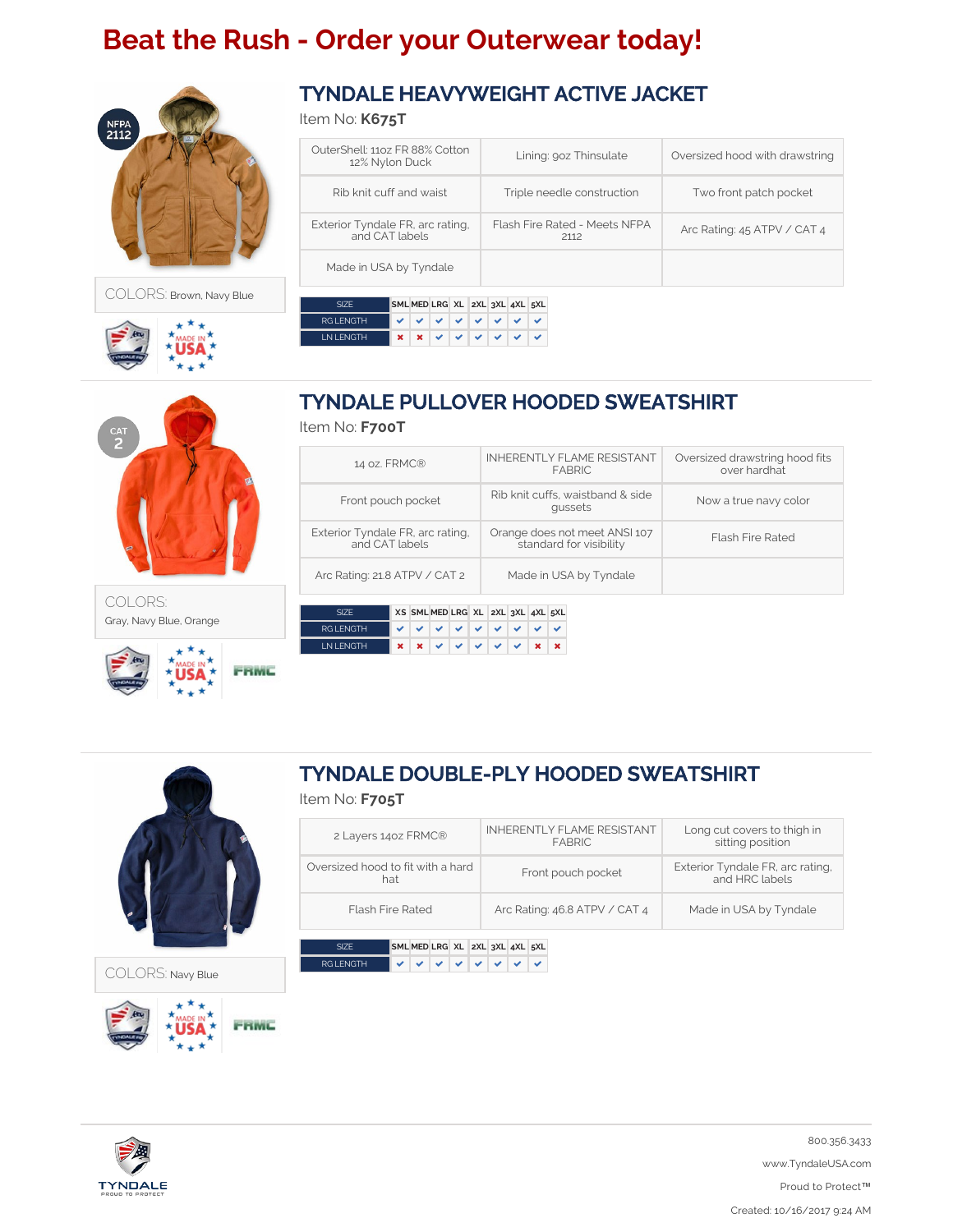# **Beat the Rush - Order your Outerwear today!**



COLORS: Brown, Navy Blue



COLORS:

Gray, Navy Blue, Orange



Item No: **K675T**

| OuterShell: 1107 FR 88% Cotton<br>12% Nylon Duck   | Lining: 90z Thinsulate                | Oversized hood with drawstring |
|----------------------------------------------------|---------------------------------------|--------------------------------|
| Rib knit cuff and waist                            | Triple needle construction            | Two front patch pocket         |
| Exterior Tyndale FR, arc rating,<br>and CAT labels | Flash Fire Rated - Meets NFPA<br>2112 | Arc Rating: 45 ATPV / CAT 4    |
| Made in USA by Tyndale                             |                                       |                                |
| SML MED LRG XL 2XL 3XL 4XL 5XL<br><b>SIZE</b>      |                                       |                                |

| ⊤ ∕ור.      | SML MED LRG AL ZAL 3AL 4AL 5AL |  |                  |  |  |
|-------------|--------------------------------|--|------------------|--|--|
| RG I FNGTH  |                                |  |                  |  |  |
| I N I FNGTH |                                |  | $x x y \lor x y$ |  |  |



## Item No: **F700T**

| 14 oz. FRMC®                                       | <b>INHERENTLY FLAME RESISTANT</b><br><b>FABRIC</b>       | Oversized drawstring hood fits<br>over hardhat |
|----------------------------------------------------|----------------------------------------------------------|------------------------------------------------|
| Front pouch pocket                                 | Rib knit cuffs, waistband & side<br>qussets              | Now a true navy color                          |
| Exterior Tyndale FR, arc rating,<br>and CAT labels | Orange does not meet ANSI 107<br>standard for visibility | <b>Flash Fire Rated</b>                        |
| Arc Rating: 21.8 ATPV / CAT 2                      | Made in USA by Tyndale                                   |                                                |

|                  |  | XS SML MED LRG XL 2XL 3XL 4XL 5XL |  |  |  |
|------------------|--|-----------------------------------|--|--|--|
| <b>RGI FNGTH</b> |  | v v v v v v v v                   |  |  |  |
| <b>INIENGTH</b>  |  |                                   |  |  |  |



FRMC

FRMC

COLORS: Navy Blue

## TYNDALE DOUBLE-PLY HOODED SWEATSHIRT

### Item No: **F705T**

| 2 Layers 1402 FRMC®                      | <b>INHERENTLY FLAME RESISTANT</b><br>FARRIC. | Long cut covers to thigh in<br>sitting position    |
|------------------------------------------|----------------------------------------------|----------------------------------------------------|
| Oversized hood to fit with a hard<br>hat | Front pouch pocket                           | Exterior Tyndale FR, arc rating,<br>and HRC labels |
| <b>Flash Fire Rated</b>                  | Arc Rating: 46.8 ATPV / CAT 4                | Made in USA by Tyndale                             |

|                  | SML MED LRG XL 2XL 3XL 4XL 5XL |  |  |  |  |
|------------------|--------------------------------|--|--|--|--|
| <b>RGI ENGTH</b> | v   v   v   v   v   v          |  |  |  |  |



800.356.3433 www.TyndaleUSA.com Proud to Protect™ Created: 10/16/2017 9:24 AM